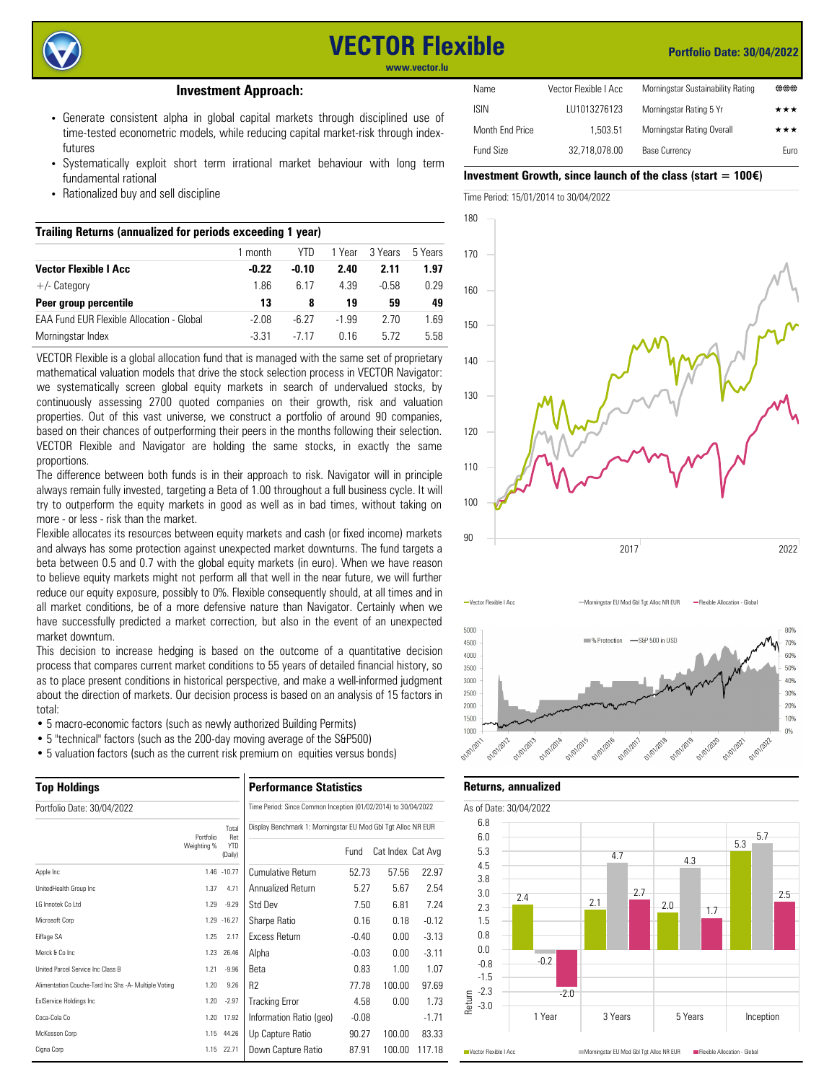

# **VECTOR Flexible**

## **Portfolio Date: 30/04/2022**

**www.vector.lu**

# **Investment Approach:**

- Generate consistent alpha in global capital markets through disciplined use of time-tested econometric models, while reducing capital market-risk through indexfutures
- Systematically exploit short term irrational market behaviour with long term fundamental rational
- Rationalized buy and sell discipline

| Trailing Returns (annualized for periods exceeding 1 year) |         |         |         |         |         |  |  |  |  |
|------------------------------------------------------------|---------|---------|---------|---------|---------|--|--|--|--|
|                                                            | 1 month | YTN.    | 1 Year  | 3 Years | 5 Years |  |  |  |  |
| <b>Vector Flexible I Acc.</b>                              | $-0.22$ | $-0.10$ | 2.40    | 2.11    | 1.97    |  |  |  |  |
| $+/-$ Category                                             | 1.86    | 6.17    | 4 39    | $-0.58$ | 0.29    |  |  |  |  |
| Peer group percentile                                      | 13      | 8       | 19      | 59      | 49      |  |  |  |  |
| <b>FAA Fund FUR Flexible Allocation - Global</b>           | $-2.08$ | $-6.27$ | $-1.99$ | 2.70    | 1.69    |  |  |  |  |
| Morningstar Index                                          | $-3.31$ | -7 17   | በ 16    | 5.72    | 5.58    |  |  |  |  |

VECTOR Flexible is a global allocation fund that is managed with the same set of proprietary mathematical valuation models that drive the stock selection process in VECTOR Navigator: we systematically screen global equity markets in search of undervalued stocks, by continuously assessing 2700 quoted companies on their growth, risk and valuation properties. Out of this vast universe, we construct a portfolio of around 90 companies, based on their chances of outperforming their peers in the months following their selection. VECTOR Flexible and Navigator are holding the same stocks, in exactly the same proportions.

The difference between both funds is in their approach to risk. Navigator will in principle always remain fully invested, targeting a Beta of 1.00 throughout a full business cycle. It will try to outperform the equity markets in good as well as in bad times, without taking on more - or less - risk than the market.

Flexible allocates its resources between equity markets and cash (or fixed income) markets and always has some protection against unexpected market downturns. The fund targets a beta between 0.5 and 0.7 with the global equity markets (in euro). When we have reason to believe equity markets might not perform all that well in the near future, we will further reduce our equity exposure, possibly to 0%. Flexible consequently should, at all times and in all market conditions, be of a more defensive nature than Navigator. Certainly when we have successfully predicted a market correction, but also in the event of an unexpected market downturn.

This decision to increase hedging is based on the outcome of a quantitative decision process that compares current market conditions to 55 years of detailed financial history, so as to place present conditions in historical perspective, and make a well-informed judgment about the direction of markets. Our decision process is based on an analysis of 15 factors in total:

- 5 macro-economic factors (such as newly authorized Building Permits)
- 5 "technical" factors (such as the 200-day moving average of the S&P500)
- 5 valuation factors (such as the current risk premium on equities versus bonds)

| <b>Top Holdings</b>                                  | <b>Performance Statistics</b><br>Time Period: Since Common Inception (01/02/2014) to 30/04/2022 |                       |                                                              |         |                   |         |  |  |  |
|------------------------------------------------------|-------------------------------------------------------------------------------------------------|-----------------------|--------------------------------------------------------------|---------|-------------------|---------|--|--|--|
| Portfolio Date: 30/04/2022                           |                                                                                                 |                       |                                                              |         |                   |         |  |  |  |
|                                                      | Portfolio                                                                                       | Total<br>Ret          | Display Benchmark 1: Morningstar EU Mod Gbl Tgt Alloc NR EUR |         |                   |         |  |  |  |
|                                                      | Weighting %                                                                                     | <b>YTD</b><br>(Daily) |                                                              | Fund    | Cat Index Cat Avg |         |  |  |  |
| Apple Inc                                            |                                                                                                 | 1.46 -10.77           | Cumulative Return                                            | 52.73   | 57.56             | 22.97   |  |  |  |
| UnitedHealth Group Inc                               | 1.37                                                                                            | 4.71                  | Annualized Return                                            | 5.27    | 5.67              | 2.54    |  |  |  |
| I G Innotek Co I td                                  | 1.29                                                                                            | $-9.29$               | Std Dev                                                      | 7.50    | 6.81              | 7.24    |  |  |  |
| Microsoft Corp                                       |                                                                                                 | 1.29 - 16.27          | Sharpe Ratio                                                 | 0.16    | 0.18              | $-0.12$ |  |  |  |
| Eiffage SA                                           | 1.25                                                                                            | 2.17                  | <b>Fxcess Return</b>                                         | $-0.40$ | 0.00              | $-3.13$ |  |  |  |
| Merck & Co Inc.                                      | 1.23                                                                                            | 26.46                 | Alpha                                                        | $-0.03$ | 0.00              | $-3.11$ |  |  |  |
| United Parcel Service Inc Class B                    | 1.21                                                                                            | $-9.96$               | Beta                                                         | 0.83    | 1.00              | 1.07    |  |  |  |
| Alimentation Couche-Tard Inc Shs -A- Multiple Voting | 1.20                                                                                            | 9.26                  | R <sub>2</sub>                                               | 77.78   | 100.00            | 97.69   |  |  |  |
| <b>ExIService Holdings Inc</b>                       | 1.20                                                                                            | $-2.97$               | <b>Tracking Error</b>                                        | 4.58    | 0.00              | 1.73    |  |  |  |
| Coca-Cola Co                                         | 1.20                                                                                            | 17.92                 | Information Ratio (geo)                                      | $-0.08$ |                   | $-1.71$ |  |  |  |
| McKesson Corp                                        | 1.15                                                                                            | 44.26                 | Up Capture Ratio                                             | 90.27   | 100.00            | 83.33   |  |  |  |
| Cigna Corp                                           |                                                                                                 | 1.15 22.71            | Down Capture Ratio                                           | 87.91   | 100.00            | 117.18  |  |  |  |

| Name            | Vector Flexible I Acc | Morningstar Sustainability Rating | 000         |
|-----------------|-----------------------|-----------------------------------|-------------|
| <b>ISIN</b>     | LU1013276123          | Morningstar Rating 5 Yr           | ***         |
| Month End Price | 1.503.51              | Morningstar Rating Overall        | ***         |
| Fund Size       | 32.718.078.00         | <b>Base Currency</b>              | <b>Furo</b> |

#### Investment Growth, since launch of the class (start  $= 100 \epsilon$ )

Time Period: 15/01/2014 to 30/04/2022





**Returns, annualized**